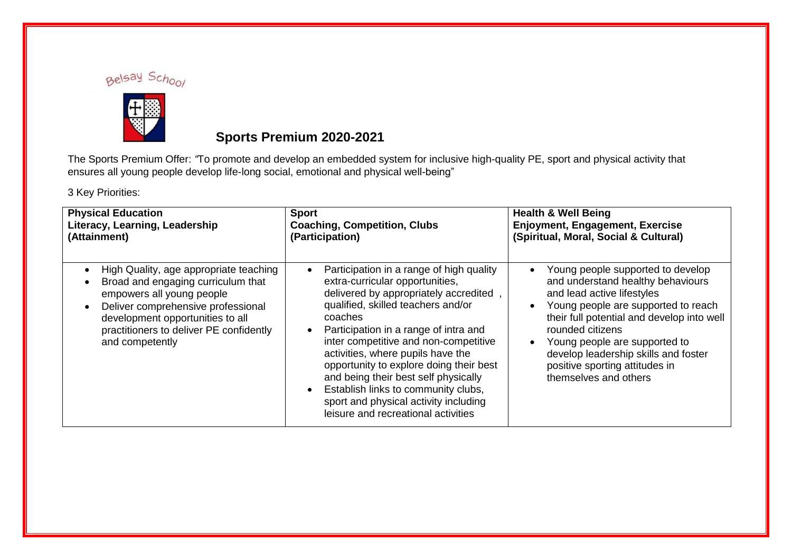



## **Sports Premium 2020-2021**

The Sports Premium Offer: *"*To promote and develop an embedded system for inclusive high-quality PE, sport and physical activity that ensures all young people develop life-long social, emotional and physical well-being"

3 Key Priorities:

| <b>Physical Education</b>                                                                                                                                                                                                                         | <b>Sport</b>                                                                                                                                                                                                                                                                                                                                                                                                                                                                                           | <b>Health &amp; Well Being</b>                                                                                                                                                                                                                                                                                                                                                           |
|---------------------------------------------------------------------------------------------------------------------------------------------------------------------------------------------------------------------------------------------------|--------------------------------------------------------------------------------------------------------------------------------------------------------------------------------------------------------------------------------------------------------------------------------------------------------------------------------------------------------------------------------------------------------------------------------------------------------------------------------------------------------|------------------------------------------------------------------------------------------------------------------------------------------------------------------------------------------------------------------------------------------------------------------------------------------------------------------------------------------------------------------------------------------|
| Literacy, Learning, Leadership                                                                                                                                                                                                                    | <b>Coaching, Competition, Clubs</b>                                                                                                                                                                                                                                                                                                                                                                                                                                                                    | <b>Enjoyment, Engagement, Exercise</b>                                                                                                                                                                                                                                                                                                                                                   |
| (Attainment)                                                                                                                                                                                                                                      | (Participation)                                                                                                                                                                                                                                                                                                                                                                                                                                                                                        | (Spiritual, Moral, Social & Cultural)                                                                                                                                                                                                                                                                                                                                                    |
| High Quality, age appropriate teaching<br>Broad and engaging curriculum that<br>empowers all young people<br>Deliver comprehensive professional<br>development opportunities to all<br>practitioners to deliver PE confidently<br>and competently | Participation in a range of high quality<br>extra-curricular opportunities,<br>delivered by appropriately accredited<br>qualified, skilled teachers and/or<br>coaches<br>Participation in a range of intra and<br>inter competitive and non-competitive<br>activities, where pupils have the<br>opportunity to explore doing their best<br>and being their best self physically<br>Establish links to community clubs,<br>sport and physical activity including<br>leisure and recreational activities | Young people supported to develop<br>$\bullet$<br>and understand healthy behaviours<br>and lead active lifestyles<br>Young people are supported to reach<br>$\bullet$<br>their full potential and develop into well<br>rounded citizens<br>Young people are supported to<br>$\bullet$<br>develop leadership skills and foster<br>positive sporting attitudes in<br>themselves and others |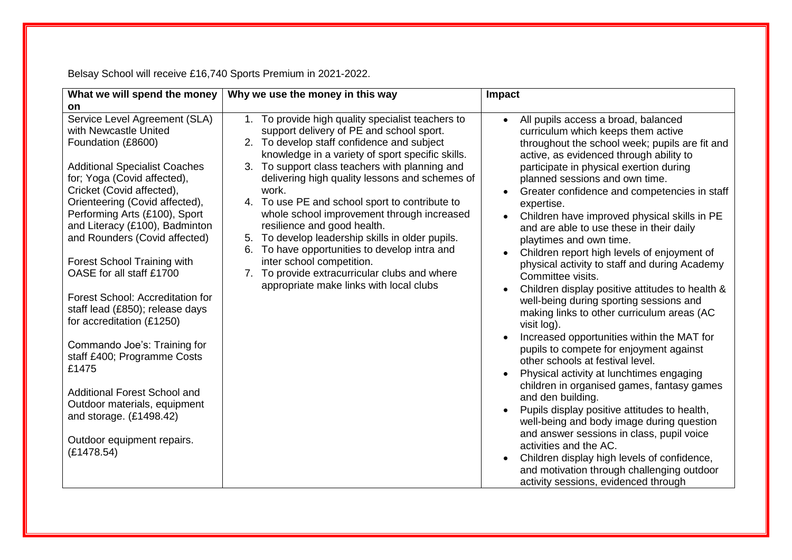Belsay School will receive £16,740 Sports Premium in 2021-2022.